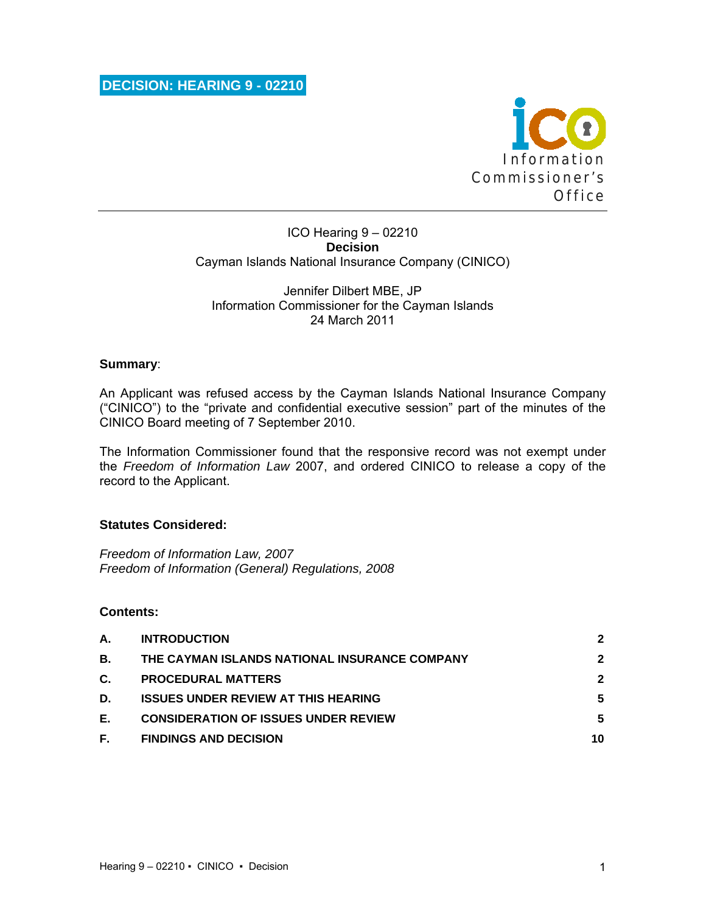

#### ICO Hearing 9 – 02210 **Decision**  Cayman Islands National Insurance Company (CINICO)

#### Jennifer Dilbert MBE, JP Information Commissioner for the Cayman Islands 24 March 2011

### **Summary**:

An Applicant was refused access by the Cayman Islands National Insurance Company ("CINICO") to the "private and confidential executive session" part of the minutes of the CINICO Board meeting of 7 September 2010.

The Information Commissioner found that the responsive record was not exempt under the *Freedom of Information Law* 2007, and ordered CINICO to release a copy of the record to the Applicant.

### **Statutes Considered:**

*Freedom of Information Law, 2007 Freedom of Information (General) Regulations, 2008* 

### **Contents:**

| А. | <b>INTRODUCTION</b>                           | 2            |
|----|-----------------------------------------------|--------------|
| В. | THE CAYMAN ISLANDS NATIONAL INSURANCE COMPANY | $\mathbf{2}$ |
| C. | <b>PROCEDURAL MATTERS</b>                     | 2            |
| D. | <b>ISSUES UNDER REVIEW AT THIS HEARING</b>    | 5            |
| Е. | <b>CONSIDERATION OF ISSUES UNDER REVIEW</b>   | 5            |
| F. | <b>FINDINGS AND DECISION</b>                  | 10           |
|    |                                               |              |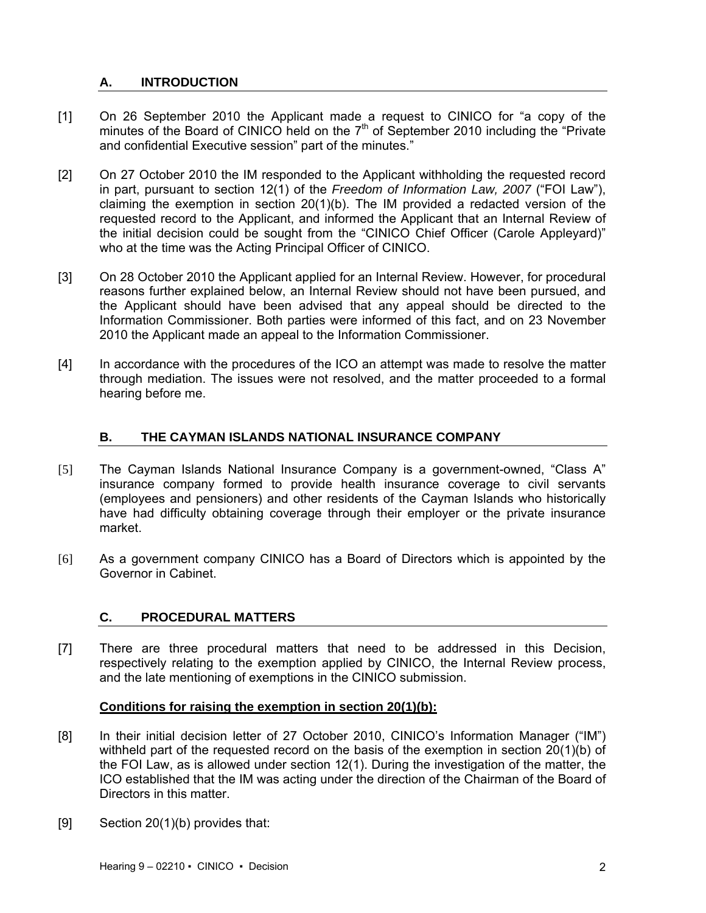# **A. INTRODUCTION**

- [1] On 26 September 2010 the Applicant made a request to CINICO for "a copy of the minutes of the Board of CINICO held on the  $7<sup>th</sup>$  of September 2010 including the "Private" and confidential Executive session" part of the minutes."
- [2] On 27 October 2010 the IM responded to the Applicant withholding the requested record in part, pursuant to section 12(1) of the *Freedom of Information Law, 2007* ("FOI Law"), claiming the exemption in section  $20(1)(b)$ . The IM provided a redacted version of the requested record to the Applicant, and informed the Applicant that an Internal Review of the initial decision could be sought from the "CINICO Chief Officer (Carole Appleyard)" who at the time was the Acting Principal Officer of CINICO.
- [3] On 28 October 2010 the Applicant applied for an Internal Review. However, for procedural reasons further explained below, an Internal Review should not have been pursued, and the Applicant should have been advised that any appeal should be directed to the Information Commissioner. Both parties were informed of this fact, and on 23 November 2010 the Applicant made an appeal to the Information Commissioner.
- [4] In accordance with the procedures of the ICO an attempt was made to resolve the matter through mediation. The issues were not resolved, and the matter proceeded to a formal hearing before me.

## **B. THE CAYMAN ISLANDS NATIONAL INSURANCE COMPANY**

- [5] The Cayman Islands National Insurance Company is a government-owned, "Class A" insurance company formed to provide health insurance coverage to civil servants (employees and pensioners) and other residents of the Cayman Islands who historically have had difficulty obtaining coverage through their employer or the private insurance market.
- [6] As a government company CINICO has a Board of Directors which is appointed by the Governor in Cabinet.

### **C. PROCEDURAL MATTERS**

[7] There are three procedural matters that need to be addressed in this Decision, respectively relating to the exemption applied by CINICO, the Internal Review process, and the late mentioning of exemptions in the CINICO submission.

### **Conditions for raising the exemption in section 20(1)(b):**

- [8] In their initial decision letter of 27 October 2010, CINICO's Information Manager ("IM") withheld part of the requested record on the basis of the exemption in section 20(1)(b) of the FOI Law, as is allowed under section 12(1). During the investigation of the matter, the ICO established that the IM was acting under the direction of the Chairman of the Board of Directors in this matter.
- [9] Section 20(1)(b) provides that: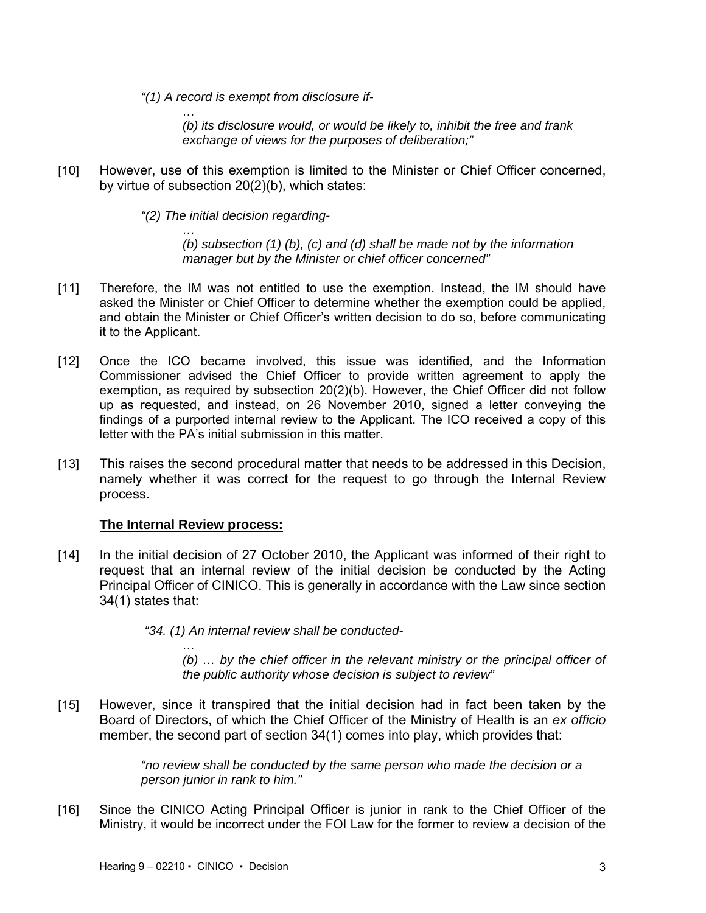*"(1) A record is exempt from disclosure if-* 

*… (b) its disclosure would, or would be likely to, inhibit the free and frank exchange of views for the purposes of deliberation;"* 

[10] However, use of this exemption is limited to the Minister or Chief Officer concerned, by virtue of subsection 20(2)(b), which states:

*"(2) The initial decision regarding-* 

*… (b) subsection (1) (b), (c) and (d) shall be made not by the information manager but by the Minister or chief officer concerned"* 

- [11] Therefore, the IM was not entitled to use the exemption. Instead, the IM should have asked the Minister or Chief Officer to determine whether the exemption could be applied, and obtain the Minister or Chief Officer's written decision to do so, before communicating it to the Applicant.
- [12] Once the ICO became involved, this issue was identified, and the Information Commissioner advised the Chief Officer to provide written agreement to apply the exemption, as required by subsection 20(2)(b). However, the Chief Officer did not follow up as requested, and instead, on 26 November 2010, signed a letter conveying the findings of a purported internal review to the Applicant. The ICO received a copy of this letter with the PA's initial submission in this matter.
- [13] This raises the second procedural matter that needs to be addressed in this Decision, namely whether it was correct for the request to go through the Internal Review process.

#### **The Internal Review process:**

[14] In the initial decision of 27 October 2010, the Applicant was informed of their right to request that an internal review of the initial decision be conducted by the Acting Principal Officer of CINICO. This is generally in accordance with the Law since section 34(1) states that:

 *"34. (1) An internal review shall be conducted-* 

*… (b) … by the chief officer in the relevant ministry or the principal officer of the public authority whose decision is subject to review"* 

[15] However, since it transpired that the initial decision had in fact been taken by the Board of Directors, of which the Chief Officer of the Ministry of Health is an *ex officio* member, the second part of section 34(1) comes into play, which provides that:

> *"no review shall be conducted by the same person who made the decision or a person junior in rank to him."*

[16] Since the CINICO Acting Principal Officer is junior in rank to the Chief Officer of the Ministry, it would be incorrect under the FOI Law for the former to review a decision of the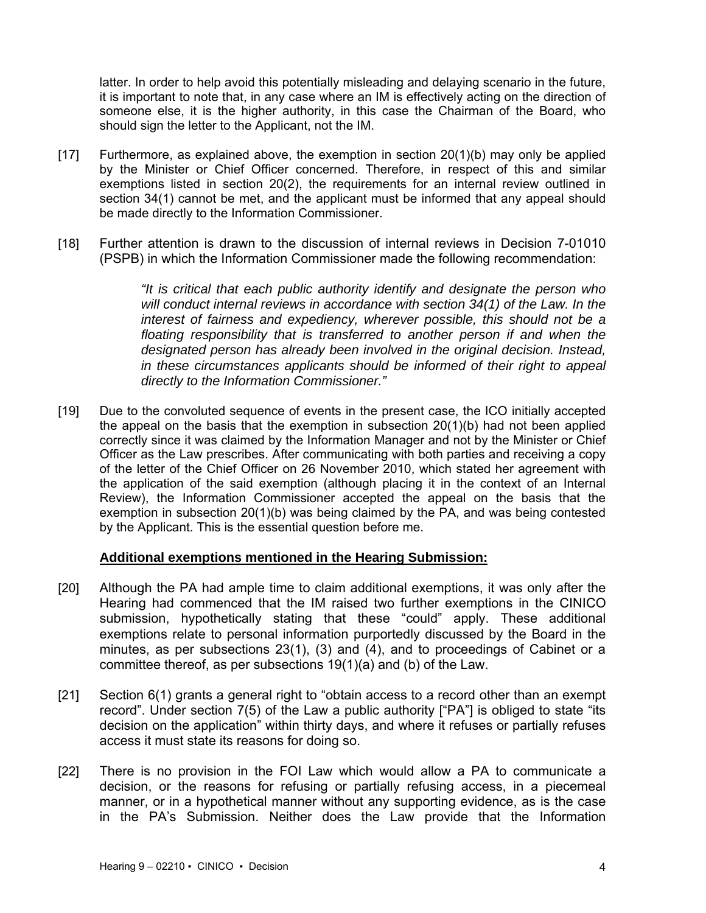latter. In order to help avoid this potentially misleading and delaying scenario in the future, it is important to note that, in any case where an IM is effectively acting on the direction of someone else, it is the higher authority, in this case the Chairman of the Board, who should sign the letter to the Applicant, not the IM.

- [17] Furthermore, as explained above, the exemption in section 20(1)(b) may only be applied by the Minister or Chief Officer concerned. Therefore, in respect of this and similar exemptions listed in section 20(2), the requirements for an internal review outlined in section 34(1) cannot be met, and the applicant must be informed that any appeal should be made directly to the Information Commissioner.
- [18] Further attention is drawn to the discussion of internal reviews in Decision 7-01010 (PSPB) in which the Information Commissioner made the following recommendation:

*"It is critical that each public authority identify and designate the person who will conduct internal reviews in accordance with section 34(1) of the Law. In the interest of fairness and expediency, wherever possible, this should not be a floating responsibility that is transferred to another person if and when the designated person has already been involved in the original decision. Instead, in these circumstances applicants should be informed of their right to appeal directly to the Information Commissioner."* 

[19] Due to the convoluted sequence of events in the present case, the ICO initially accepted the appeal on the basis that the exemption in subsection 20(1)(b) had not been applied correctly since it was claimed by the Information Manager and not by the Minister or Chief Officer as the Law prescribes. After communicating with both parties and receiving a copy of the letter of the Chief Officer on 26 November 2010, which stated her agreement with the application of the said exemption (although placing it in the context of an Internal Review), the Information Commissioner accepted the appeal on the basis that the exemption in subsection 20(1)(b) was being claimed by the PA, and was being contested by the Applicant. This is the essential question before me.

### **Additional exemptions mentioned in the Hearing Submission:**

- [20] Although the PA had ample time to claim additional exemptions, it was only after the Hearing had commenced that the IM raised two further exemptions in the CINICO submission, hypothetically stating that these "could" apply. These additional exemptions relate to personal information purportedly discussed by the Board in the minutes, as per subsections 23(1), (3) and (4), and to proceedings of Cabinet or a committee thereof, as per subsections 19(1)(a) and (b) of the Law.
- [21] Section 6(1) grants a general right to "obtain access to a record other than an exempt record". Under section 7(5) of the Law a public authority ["PA"] is obliged to state "its decision on the application" within thirty days, and where it refuses or partially refuses access it must state its reasons for doing so.
- [22] There is no provision in the FOI Law which would allow a PA to communicate a decision, or the reasons for refusing or partially refusing access, in a piecemeal manner, or in a hypothetical manner without any supporting evidence, as is the case in the PA's Submission. Neither does the Law provide that the Information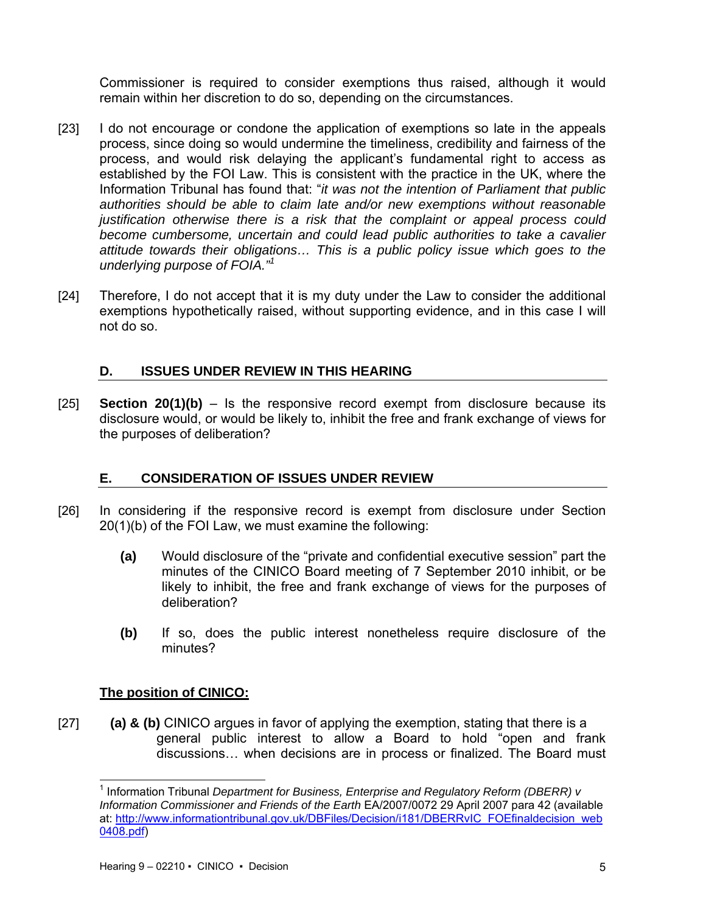Commissioner is required to consider exemptions thus raised, although it would remain within her discretion to do so, depending on the circumstances.

- [23] I do not encourage or condone the application of exemptions so late in the appeals process, since doing so would undermine the timeliness, credibility and fairness of the process, and would risk delaying the applicant's fundamental right to access as established by the FOI Law. This is consistent with the practice in the UK, where the Information Tribunal has found that: "*it was not the intention of Parliament that public authorities should be able to claim late and/or new exemptions without reasonable justification otherwise there is a risk that the complaint or appeal process could become cumbersome, uncertain and could lead public authorities to take a cavalier attitude towards their obligations… This is a public policy issue which goes to the underlying purpose of FOIA."1*
- [24] Therefore, I do not accept that it is my duty under the Law to consider the additional exemptions hypothetically raised, without supporting evidence, and in this case I will not do so.

# **D. ISSUES UNDER REVIEW IN THIS HEARING**

[25] **Section 20(1)(b)** – Is the responsive record exempt from disclosure because its disclosure would, or would be likely to, inhibit the free and frank exchange of views for the purposes of deliberation?

# **E. CONSIDERATION OF ISSUES UNDER REVIEW**

- [26] In considering if the responsive record is exempt from disclosure under Section 20(1)(b) of the FOI Law, we must examine the following:
	- **(a)** Would disclosure of the "private and confidential executive session" part the minutes of the CINICO Board meeting of 7 September 2010 inhibit, or be likely to inhibit, the free and frank exchange of views for the purposes of deliberation?
	- **(b)** If so, does the public interest nonetheless require disclosure of the minutes?

## **The position of CINICO:**

l

[27] **(a) & (b)** CINICO argues in favor of applying the exemption, stating that there is a general public interest to allow a Board to hold "open and frank discussions… when decisions are in process or finalized. The Board must

<sup>1</sup> Information Tribunal *Department for Business, Enterprise and Regulatory Reform (DBERR) v Information Commissioner and Friends of the Earth* EA/2007/0072 29 April 2007 para 42 (available at: http://www.informationtribunal.gov.uk/DBFiles/Decision/i181/DBERRvIC\_FOEfinaldecision\_web 0408.pdf)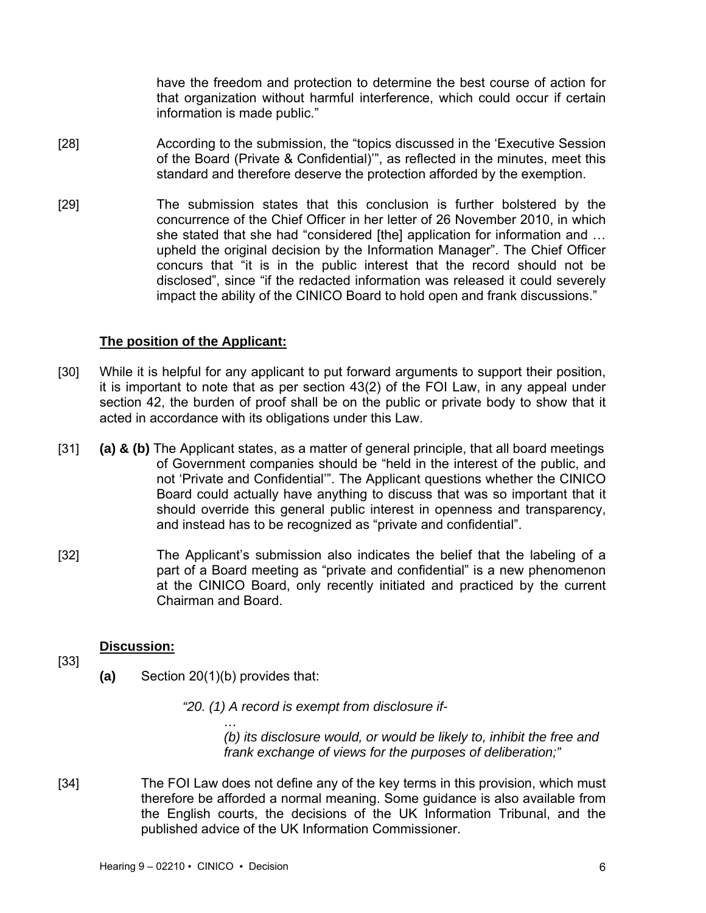have the freedom and protection to determine the best course of action for that organization without harmful interference, which could occur if certain information is made public."

- [28] According to the submission, the "topics discussed in the 'Executive Session of the Board (Private & Confidential)'", as reflected in the minutes, meet this standard and therefore deserve the protection afforded by the exemption.
- [29] The submission states that this conclusion is further bolstered by the concurrence of the Chief Officer in her letter of 26 November 2010, in which she stated that she had "considered [the] application for information and … upheld the original decision by the Information Manager". The Chief Officer concurs that "it is in the public interest that the record should not be disclosed", since "if the redacted information was released it could severely impact the ability of the CINICO Board to hold open and frank discussions."

## **The position of the Applicant:**

- [30] While it is helpful for any applicant to put forward arguments to support their position, it is important to note that as per section 43(2) of the FOI Law, in any appeal under section 42, the burden of proof shall be on the public or private body to show that it acted in accordance with its obligations under this Law.
- [31] **(a) & (b)** The Applicant states, as a matter of general principle, that all board meetings of Government companies should be "held in the interest of the public, and not 'Private and Confidential'". The Applicant questions whether the CINICO Board could actually have anything to discuss that was so important that it should override this general public interest in openness and transparency, and instead has to be recognized as "private and confidential".
- [32] The Applicant's submission also indicates the belief that the labeling of a part of a Board meeting as "private and confidential" is a new phenomenon at the CINICO Board, only recently initiated and practiced by the current Chairman and Board.

### **Discussion:**

[33]

**(a)** Section 20(1)(b) provides that:

*"20. (1) A record is exempt from disclosure if-* 

*… (b) its disclosure would, or would be likely to, inhibit the free and frank exchange of views for the purposes of deliberation;"* 

[34] The FOI Law does not define any of the key terms in this provision, which must therefore be afforded a normal meaning. Some guidance is also available from the English courts, the decisions of the UK Information Tribunal, and the published advice of the UK Information Commissioner.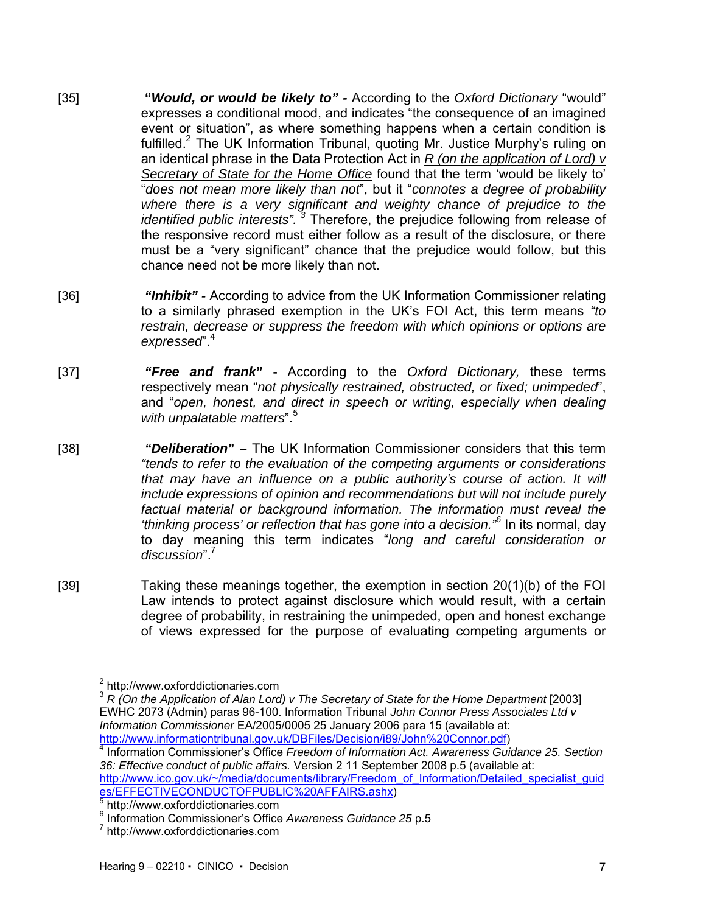- [35] **"***Would, or would be likely to"* According to the *Oxford Dictionary* "would" expresses a conditional mood, and indicates "the consequence of an imagined event or situation", as where something happens when a certain condition is fulfilled.<sup>2</sup> The UK Information Tribunal, quoting Mr. Justice Murphy's ruling on an identical phrase in the Data Protection Act in *R (on the application of Lord) v Secretary of State for the Home Office* found that the term 'would be likely to' "*does not mean more likely than not*", but it "*connotes a degree of probability where there is a very significant and weighty chance of prejudice to the identified public interests". 3* Therefore, the prejudice following from release of the responsive record must either follow as a result of the disclosure, or there must be a "very significant" chance that the prejudice would follow, but this chance need not be more likely than not.
- [36] *"Inhibit"* According to advice from the UK Information Commissioner relating to a similarly phrased exemption in the UK's FOI Act, this term means *"to restrain, decrease or suppress the freedom with which opinions or options are expressed*".4
- [37] *"Free and frank***"** According to the *Oxford Dictionary,* these terms respectively mean "*not physically restrained, obstructed, or fixed; unimpeded*", and "*open, honest, and direct in speech or writing, especially when dealing with unpalatable matters*".5
- [38] *"Deliberation***"** The UK Information Commissioner considers that this term *"tends to refer to the evaluation of the competing arguments or considerations that may have an influence on a public authority's course of action. It will include expressions of opinion and recommendations but will not include purely factual material or background information. The information must reveal the 'thinking process' or reflection that has gone into a decision."<sup>6</sup>* In its normal, day to day meaning this term indicates "*long and careful consideration or discussion*".7

[39] Taking these meanings together, the exemption in section 20(1)(b) of the FOI Law intends to protect against disclosure which would result, with a certain degree of probability, in restraining the unimpeded, open and honest exchange of views expressed for the purpose of evaluating competing arguments or

 2 http://www.oxforddictionaries.com

<sup>&</sup>lt;sup>3</sup> R (On the Application of Alan Lord) v The Secretary of State for the Home Department [2003] EWHC 2073 (Admin) paras 96-100. Information Tribunal *John Connor Press Associates Ltd v Information Commissioner* EA/2005/0005 25 January 2006 para 15 (available at: http://www.informationtribunal.gov.uk/DBFiles/Decision/i89/John%20Connor.pdf) 4

Information Commissioner's Office *Freedom of Information Act. Awareness Guidance 25. Section 36: Effective conduct of public affairs.* Version 2 11 September 2008 p.5 (available at: http://www.ico.gov.uk/~/media/documents/library/Freedom\_of\_Information/Detailed\_specialist\_guid es/EFFECTIVECONDUCTOFPUBLIC%20AFFAIRS.ashx)

http://www.oxforddictionaries.com

<sup>&</sup>lt;sup>6</sup> Information Commissioner's Office *Awareness Guidance* 25 p.5<br><sup>7</sup> http://www.oxforddistioneries.com

http://www.oxforddictionaries.com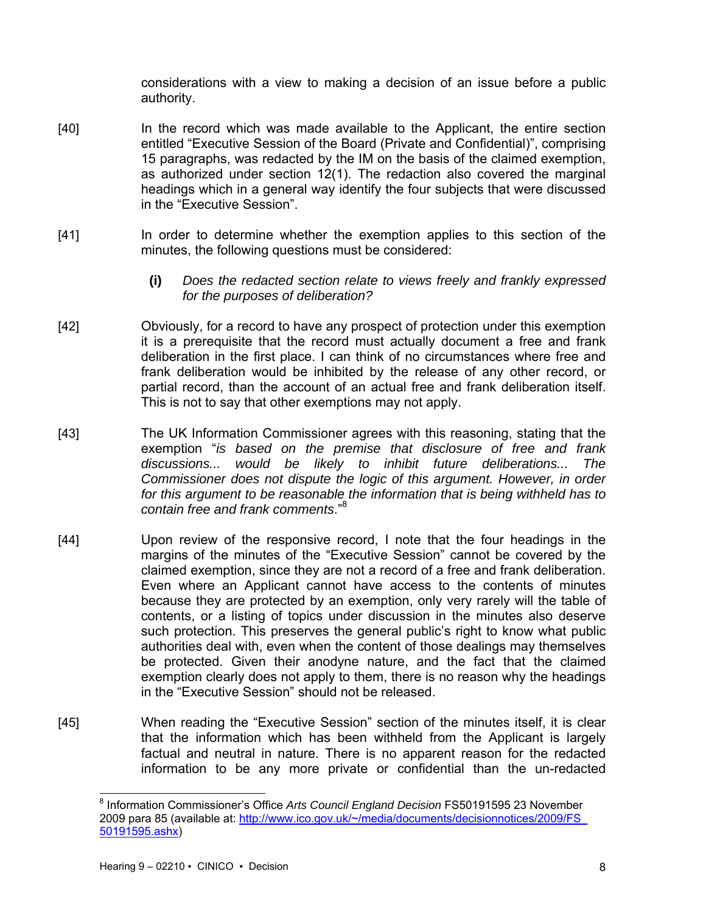considerations with a view to making a decision of an issue before a public authority.

- [40] In the record which was made available to the Applicant, the entire section entitled "Executive Session of the Board (Private and Confidential)", comprising 15 paragraphs, was redacted by the IM on the basis of the claimed exemption, as authorized under section 12(1). The redaction also covered the marginal headings which in a general way identify the four subjects that were discussed in the "Executive Session".
- [41] In order to determine whether the exemption applies to this section of the minutes, the following questions must be considered:
	- **(i)** *Does the redacted section relate to views freely and frankly expressed for the purposes of deliberation?*
- [42] Obviously, for a record to have any prospect of protection under this exemption it is a prerequisite that the record must actually document a free and frank deliberation in the first place. I can think of no circumstances where free and frank deliberation would be inhibited by the release of any other record, or partial record, than the account of an actual free and frank deliberation itself. This is not to say that other exemptions may not apply.
- [43] The UK Information Commissioner agrees with this reasoning, stating that the exemption "*is based on the premise that disclosure of free and frank discussions... would be likely to inhibit future deliberations... The Commissioner does not dispute the logic of this argument. However, in order for this argument to be reasonable the information that is being withheld has to contain free and frank comments*."<sup>8</sup>
- [44] Upon review of the responsive record, I note that the four headings in the margins of the minutes of the "Executive Session" cannot be covered by the claimed exemption, since they are not a record of a free and frank deliberation. Even where an Applicant cannot have access to the contents of minutes because they are protected by an exemption, only very rarely will the table of contents, or a listing of topics under discussion in the minutes also deserve such protection. This preserves the general public's right to know what public authorities deal with, even when the content of those dealings may themselves be protected. Given their anodyne nature, and the fact that the claimed exemption clearly does not apply to them, there is no reason why the headings in the "Executive Session" should not be released.
- [45] When reading the "Executive Session" section of the minutes itself, it is clear that the information which has been withheld from the Applicant is largely factual and neutral in nature. There is no apparent reason for the redacted information to be any more private or confidential than the un-redacted

l 8 Information Commissioner's Office *Arts Council England Decision* FS50191595 23 November 2009 para 85 (available at: http://www.ico.gov.uk/~/media/documents/decisionnotices/2009/FS 50191595.ashx)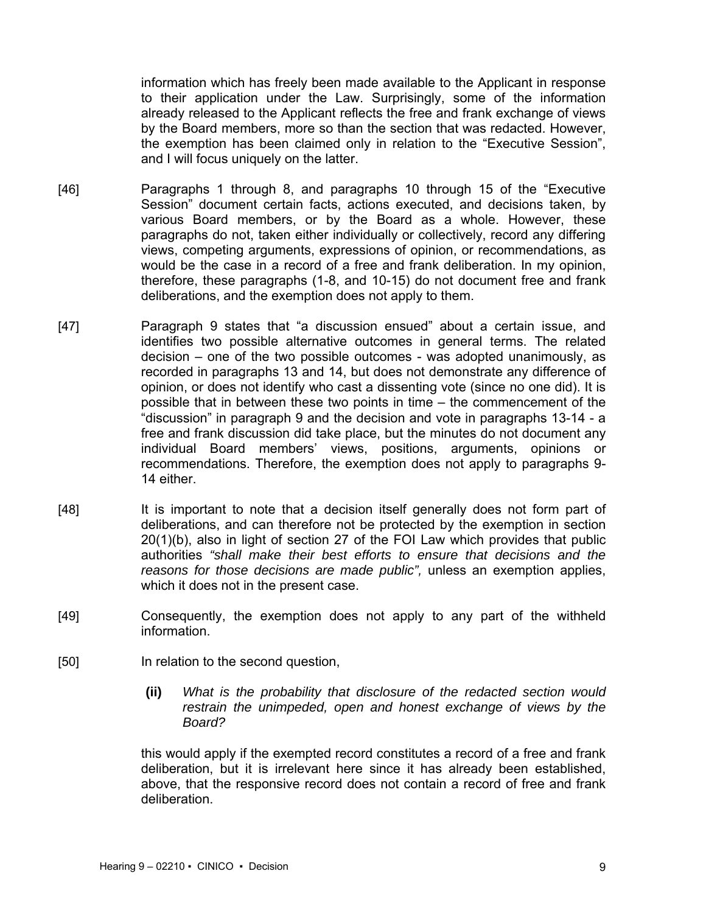information which has freely been made available to the Applicant in response to their application under the Law. Surprisingly, some of the information already released to the Applicant reflects the free and frank exchange of views by the Board members, more so than the section that was redacted. However, the exemption has been claimed only in relation to the "Executive Session", and I will focus uniquely on the latter.

- [46] Paragraphs 1 through 8, and paragraphs 10 through 15 of the "Executive Session" document certain facts, actions executed, and decisions taken, by various Board members, or by the Board as a whole. However, these paragraphs do not, taken either individually or collectively, record any differing views, competing arguments, expressions of opinion, or recommendations, as would be the case in a record of a free and frank deliberation. In my opinion, therefore, these paragraphs (1-8, and 10-15) do not document free and frank deliberations, and the exemption does not apply to them.
- [47] Paragraph 9 states that "a discussion ensued" about a certain issue, and identifies two possible alternative outcomes in general terms. The related decision – one of the two possible outcomes - was adopted unanimously, as recorded in paragraphs 13 and 14, but does not demonstrate any difference of opinion, or does not identify who cast a dissenting vote (since no one did). It is possible that in between these two points in time – the commencement of the "discussion" in paragraph 9 and the decision and vote in paragraphs 13-14 - a free and frank discussion did take place, but the minutes do not document any individual Board members' views, positions, arguments, opinions or recommendations. Therefore, the exemption does not apply to paragraphs 9- 14 either.
- [48] It is important to note that a decision itself generally does not form part of deliberations, and can therefore not be protected by the exemption in section 20(1)(b), also in light of section 27 of the FOI Law which provides that public authorities *"shall make their best efforts to ensure that decisions and the reasons for those decisions are made public",* unless an exemption applies, which it does not in the present case.
- [49] Consequently, the exemption does not apply to any part of the withheld information.
- [50] In relation to the second question,
	- **(ii)** *What is the probability that disclosure of the redacted section would restrain the unimpeded, open and honest exchange of views by the Board?*

this would apply if the exempted record constitutes a record of a free and frank deliberation, but it is irrelevant here since it has already been established, above, that the responsive record does not contain a record of free and frank deliberation.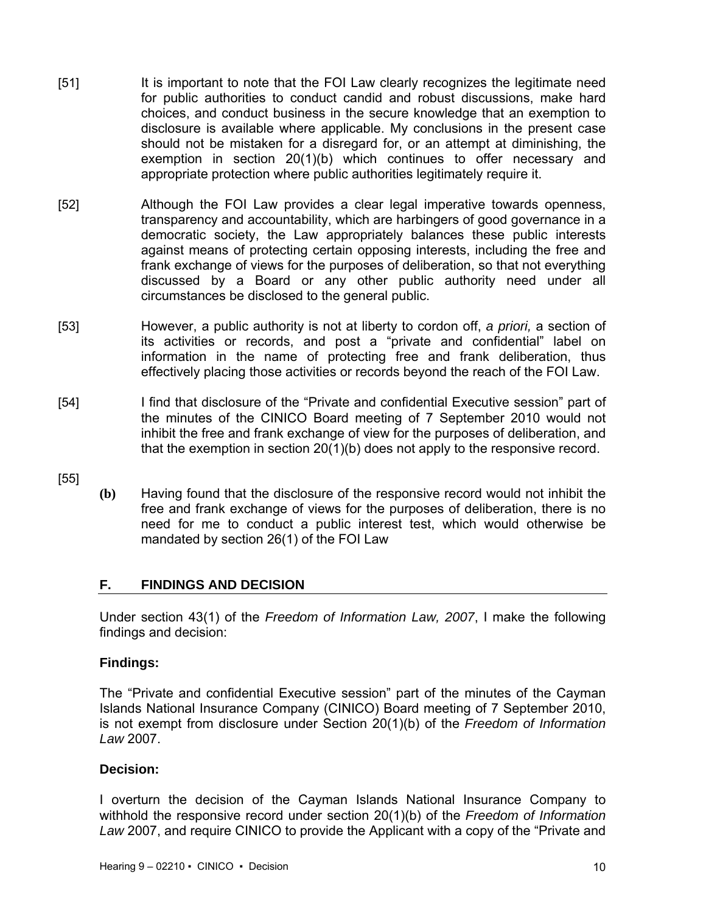- [51] It is important to note that the FOI Law clearly recognizes the legitimate need for public authorities to conduct candid and robust discussions, make hard choices, and conduct business in the secure knowledge that an exemption to disclosure is available where applicable. My conclusions in the present case should not be mistaken for a disregard for, or an attempt at diminishing, the exemption in section 20(1)(b) which continues to offer necessary and appropriate protection where public authorities legitimately require it.
- [52] Although the FOI Law provides a clear legal imperative towards openness, transparency and accountability, which are harbingers of good governance in a democratic society, the Law appropriately balances these public interests against means of protecting certain opposing interests, including the free and frank exchange of views for the purposes of deliberation, so that not everything discussed by a Board or any other public authority need under all circumstances be disclosed to the general public.
- [53] However, a public authority is not at liberty to cordon off, *a priori,* a section of its activities or records, and post a "private and confidential" label on information in the name of protecting free and frank deliberation, thus effectively placing those activities or records beyond the reach of the FOI Law.
- [54] I find that disclosure of the "Private and confidential Executive session" part of the minutes of the CINICO Board meeting of 7 September 2010 would not inhibit the free and frank exchange of view for the purposes of deliberation, and that the exemption in section 20(1)(b) does not apply to the responsive record.
- [55]
- **(b)** Having found that the disclosure of the responsive record would not inhibit the free and frank exchange of views for the purposes of deliberation, there is no need for me to conduct a public interest test, which would otherwise be mandated by section 26(1) of the FOI Law

### **F. FINDINGS AND DECISION**

Under section 43(1) of the *Freedom of Information Law, 2007*, I make the following findings and decision:

### **Findings:**

The "Private and confidential Executive session" part of the minutes of the Cayman Islands National Insurance Company (CINICO) Board meeting of 7 September 2010, is not exempt from disclosure under Section 20(1)(b) of the *Freedom of Information Law* 2007.

### **Decision:**

I overturn the decision of the Cayman Islands National Insurance Company to withhold the responsive record under section 20(1)(b) of the *Freedom of Information Law* 2007, and require CINICO to provide the Applicant with a copy of the "Private and